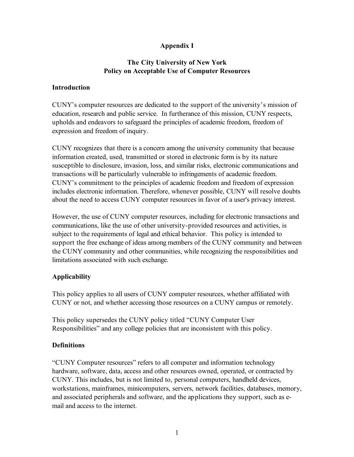# **Appendix I**

## **The City University of New York Policy on Acceptable Use of Computer Resources**

#### **Introduction**

CUNY's computer resources are dedicated to the support of the university's mission of education, research and public service. In furtherance of this mission, CUNY respects, upholds and endeavors to safeguard the principles of academic freedom, freedom of expression and freedom of inquiry.

CUNY recognizes that there is a concern among the university community that because information created, used, transmitted or stored in electronic form is by its nature susceptible to disclosure, invasion, loss, and similar risks, electronic communications and transactions will be particularly vulnerable to infringements of academic freedom. CUNY's commitment to the principles of academic freedom and freedom of expression includes electronic information. Therefore, whenever possible, CUNY will resolve doubts about the need to access CUNY computer resources in favor of a user's privacy interest.

However, the use of CUNY computer resources, including for electronic transactions and communications, like the use of other university-provided resources and activities, is subject to the requirements of legal and ethical behavior. This policy is intended to support the free exchange of ideas among members of the CUNY community and between the CUNY community and other communities, while recognizing the responsibilities and limitations associated with such exchange.

### **Applicability**

This policy applies to all users of CUNY computer resources, whether affiliated with CUNY or not, and whether accessing those resources on a CUNY campus or remotely.

This policy supersedes the CUNY policy titled "CUNY Computer User Responsibilities" and any college policies that are inconsistent with this policy.

### **Definitions**

"CUNY Computer resources" refers to all computer and information technology hardware, software, data, access and other resources owned, operated, or contracted by CUNY. This includes, but is not limited to, personal computers, handheld devices, workstations, mainframes, minicomputers, servers, network facilities, databases, memory, and associated peripherals and software, and the applications they support, such as email and access to the internet.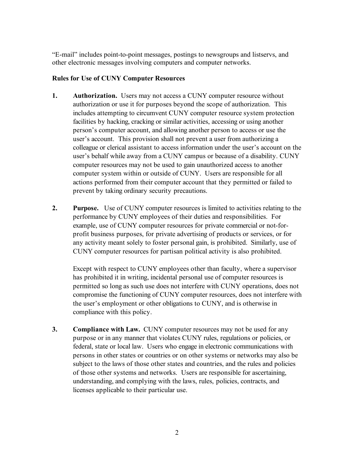"E-mail" includes point-to-point messages, postings to newsgroups and listservs, and other electronic messages involving computers and computer networks.

#### **Rules for Use of CUNY Computer Resources**

- **1. Authorization.** Users may not access a CUNY computer resource without authorization or use it for purposes beyond the scope of authorization. This includes attempting to circumvent CUNY computer resource system protection facilities by hacking, cracking or similar activities, accessing or using another person's computer account, and allowing another person to access or use the user's account. This provision shall not prevent a user from authorizing a colleague or clerical assistant to access information under the user's account on the user's behalf while away from a CUNY campus or because of a disability. CUNY computer resources may not be used to gain unauthorized access to another computer system within or outside of CUNY. Users are responsible for all actions performed from their computer account that they permitted or failed to prevent by taking ordinary security precautions.
- **2. Purpose.** Use of CUNY computer resources is limited to activities relating to the performance by CUNY employees of their duties and responsibilities. For example, use of CUNY computer resources for private commercial or not-forprofit business purposes, for private advertising of products or services, or for any activity meant solely to foster personal gain, is prohibited. Similarly, use of CUNY computer resources for partisan political activity is also prohibited.

Except with respect to CUNY employees other than faculty, where a supervisor has prohibited it in writing, incidental personal use of computer resources is permitted so long as such use does not interfere with CUNY operations, does not compromise the functioning of CUNY computer resources, does not interfere with the user's employment or other obligations to CUNY, and is otherwise in compliance with this policy.

**3. Compliance with Law.** CUNY computer resources may not be used for any purpose or in any manner that violates CUNY rules, regulations or policies, or federal, state or local law. Users who engage in electronic communications with persons in other states or countries or on other systems or networks may also be subject to the laws of those other states and countries, and the rules and policies of those other systems and networks. Users are responsible for ascertaining, understanding, and complying with the laws, rules, policies, contracts, and licenses applicable to their particular use.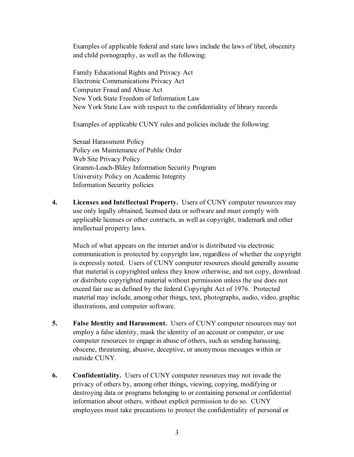Examples of applicable federal and state laws include the laws of libel, obscenity and child pornography, as well as the following:

Family Educational Rights and Privacy Act Electronic Communications Privacy Act Computer Fraud and Abuse Act New York State Freedom of Information Law New York State Law with respect to the confidentiality of library records

Examples of applicable CUNY rules and policies include the following:

Sexual Harassment Policy Policy on Maintenance of Public Order Web Site Privacy Policy Gramm-Leach-Bliley Information Security Program University Policy on Academic Integrity Information Security policies

**4. Licenses and Intellectual Property.** Users of CUNY computer resources may use only legally obtained, licensed data or software and must comply with applicable licenses or other contracts, as well as copyright, trademark and other intellectual property laws.

Much of what appears on the internet and/or is distributed via electronic communication is protected by copyright law, regardless of whether the copyright is expressly noted. Users of CUNY computer resources should generally assume that material is copyrighted unless they know otherwise, and not copy, download or distribute copyrighted material without permission unless the use does not exceed fair use as defined by the federal Copyright Act of 1976. Protected material may include, among other things, text, photographs, audio, video, graphic illustrations, and computer software.

- **5. False Identity and Harassment.** Users of CUNY computer resources may not employ a false identity, mask the identity of an account or computer, or use computer resources to engage in abuse of others, such as sending harassing, obscene, threatening, abusive, deceptive, or anonymous messages within or outside CUNY.
- **6. Confidentiality.** Users of CUNY computer resources may not invade the privacy of others by, among other things, viewing, copying, modifying or destroying data or programs belonging to or containing personal or confidential information about others, without explicit permission to do so. CUNY employees must take precautions to protect the confidentiality of personal or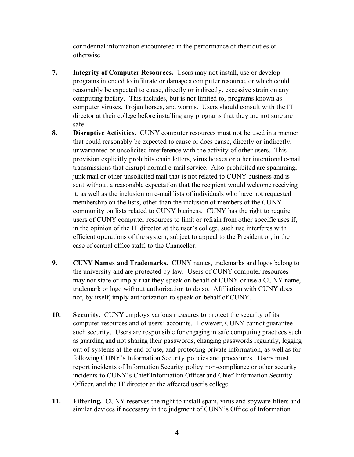confidential information encountered in the performance of their duties or otherwise.

- **7. Integrity of Computer Resources.** Users may not install, use or develop programs intended to infiltrate or damage a computer resource, or which could reasonably be expected to cause, directly or indirectly, excessive strain on any computing facility. This includes, but is not limited to, programs known as computer viruses, Trojan horses, and worms. Users should consult with the IT director at their college before installing any programs that they are not sure are safe.
- **8. Disruptive Activities.** CUNY computer resources must not be used in a manner that could reasonably be expected to cause or does cause, directly or indirectly, unwarranted or unsolicited interference with the activity of other users. This provision explicitly prohibits chain letters, virus hoaxes or other intentional e-mail transmissions that disrupt normal e-mail service. Also prohibited are spamming, junk mail or other unsolicited mail that is not related to CUNY business and is sent without a reasonable expectation that the recipient would welcome receiving it, as well as the inclusion on e-mail lists of individuals who have not requested membership on the lists, other than the inclusion of members of the CUNY community on lists related to CUNY business. CUNY has the right to require users of CUNY computer resources to limit or refrain from other specific uses if, in the opinion of the IT director at the user's college, such use interferes with efficient operations of the system, subject to appeal to the President or, in the case of central office staff, to the Chancellor.
- **9. CUNY Names and Trademarks.** CUNY names, trademarks and logos belong to the university and are protected by law. Users of CUNY computer resources may not state or imply that they speak on behalf of CUNY or use a CUNY name, trademark or logo without authorization to do so. Affiliation with CUNY does not, by itself, imply authorization to speak on behalf of CUNY.
- **10. Security.** CUNY employs various measures to protect the security of its computer resources and of users' accounts. However, CUNY cannot guarantee such security. Users are responsible for engaging in safe computing practices such as guarding and not sharing their passwords, changing passwords regularly, logging out of systems at the end of use, and protecting private information, as well as for following CUNY's Information Security policies and procedures. Users must report incidents of Information Security policy non-compliance or other security incidents to CUNY's Chief Information Officer and Chief Information Security Officer, and the IT director at the affected user's college.
- **11. Filtering.** CUNY reserves the right to install spam, virus and spyware filters and similar devices if necessary in the judgment of CUNY's Office of Information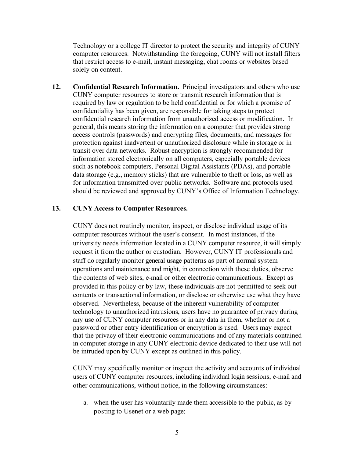Technology or a college IT director to protect the security and integrity of CUNY computer resources. Notwithstanding the foregoing, CUNY will not install filters that restrict access to e-mail, instant messaging, chat rooms or websites based solely on content.

**12. Confidential Research Information.** Principal investigators and others who use CUNY computer resources to store or transmit research information that is required by law or regulation to be held confidential or for which a promise of confidentiality has been given, are responsible for taking steps to protect confidential research information from unauthorized access or modification. In general, this means storing the information on a computer that provides strong access controls (passwords) and encrypting files, documents, and messages for protection against inadvertent or unauthorized disclosure while in storage or in transit over data networks. Robust encryption is strongly recommended for information stored electronically on all computers, especially portable devices such as notebook computers, Personal Digital Assistants (PDAs), and portable data storage (e.g., memory sticks) that are vulnerable to theft or loss, as well as for information transmitted over public networks. Software and protocols used should be reviewed and approved by CUNY's Office of Information Technology.

#### **13. CUNY Access to Computer Resources.**

CUNY does not routinely monitor, inspect, or disclose individual usage of its computer resources without the user's consent. In most instances, if the university needs information located in a CUNY computer resource, it will simply request it from the author or custodian. However, CUNY IT professionals and staff do regularly monitor general usage patterns as part of normal system operations and maintenance and might, in connection with these duties, observe the contents of web sites, e-mail or other electronic communications. Except as provided in this policy or by law, these individuals are not permitted to seek out contents or transactional information, or disclose or otherwise use what they have observed. Nevertheless, because of the inherent vulnerability of computer technology to unauthorized intrusions, users have no guarantee of privacy during any use of CUNY computer resources or in any data in them, whether or not a password or other entry identification or encryption is used. Users may expect that the privacy of their electronic communications and of any materials contained in computer storage in any CUNY electronic device dedicated to their use will not be intruded upon by CUNY except as outlined in this policy.

CUNY may specifically monitor or inspect the activity and accounts of individual users of CUNY computer resources, including individual login sessions, e-mail and other communications, without notice, in the following circumstances:

a. when the user has voluntarily made them accessible to the public, as by posting to Usenet or a web page;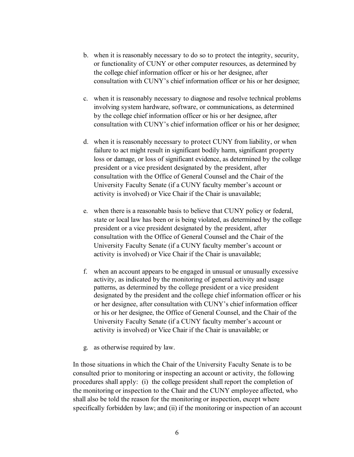- b. when it is reasonably necessary to do so to protect the integrity, security, or functionality of CUNY or other computer resources, as determined by the college chief information officer or his or her designee, after consultation with CUNY's chief information officer or his or her designee;
- c. when it is reasonably necessary to diagnose and resolve technical problems involving system hardware, software, or communications, as determined by the college chief information officer or his or her designee, after consultation with CUNY's chief information officer or his or her designee;
- d. when it is reasonably necessary to protect CUNY from liability, or when failure to act might result in significant bodily harm, significant property loss or damage, or loss of significant evidence, as determined by the college president or a vice president designated by the president, after consultation with the Office of General Counsel and the Chair of the University Faculty Senate (if a CUNY faculty member's account or activity is involved) or Vice Chair if the Chair is unavailable;
- e. when there is a reasonable basis to believe that CUNY policy or federal, state or local law has been or is being violated, as determined by the college president or a vice president designated by the president, after consultation with the Office of General Counsel and the Chair of the University Faculty Senate (if a CUNY faculty member's account or activity is involved) or Vice Chair if the Chair is unavailable;
- f. when an account appears to be engaged in unusual or unusually excessive activity, as indicated by the monitoring of general activity and usage patterns, as determined by the college president or a vice president designated by the president and the college chief information officer or his or her designee, after consultation with CUNY's chief information officer or his or her designee, the Office of General Counsel, and the Chair of the University Faculty Senate (if a CUNY faculty member's account or activity is involved) or Vice Chair if the Chair is unavailable; or
- g. as otherwise required by law.

In those situations in which the Chair of the University Faculty Senate is to be consulted prior to monitoring or inspecting an account or activity, the following procedures shall apply: (i) the college president shall report the completion of the monitoring or inspection to the Chair and the CUNY employee affected, who shall also be told the reason for the monitoring or inspection, except where specifically forbidden by law; and (ii) if the monitoring or inspection of an account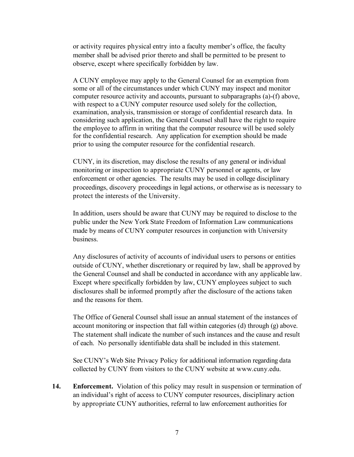or activity requires physical entry into a faculty member's office, the faculty member shall be advised prior thereto and shall be permitted to be present to observe, except where specifically forbidden by law.

A CUNY employee may apply to the General Counsel for an exemption from some or all of the circumstances under which CUNY may inspect and monitor computer resource activity and accounts, pursuant to subparagraphs (a)-(f) above, with respect to a CUNY computer resource used solely for the collection, examination, analysis, transmission or storage of confidential research data. In considering such application, the General Counsel shall have the right to require the employee to affirm in writing that the computer resource will be used solely for the confidential research. Any application for exemption should be made prior to using the computer resource for the confidential research.

CUNY, in its discretion, may disclose the results of any general or individual monitoring or inspection to appropriate CUNY personnel or agents, or law enforcement or other agencies. The results may be used in college disciplinary proceedings, discovery proceedings in legal actions, or otherwise as is necessary to protect the interests of the University.

In addition, users should be aware that CUNY may be required to disclose to the public under the New York State Freedom of Information Law communications made by means of CUNY computer resources in conjunction with University business.

Any disclosures of activity of accounts of individual users to persons or entities outside of CUNY, whether discretionary or required by law, shall be approved by the General Counsel and shall be conducted in accordance with any applicable law. Except where specifically forbidden by law, CUNY employees subject to such disclosures shall be informed promptly after the disclosure of the actions taken and the reasons for them.

The Office of General Counsel shall issue an annual statement of the instances of account monitoring or inspection that fall within categories (d) through (g) above. The statement shall indicate the number of such instances and the cause and result of each. No personally identifiable data shall be included in this statement.

See CUNY's Web Site Privacy Policy for additional information regarding data collected by CUNY from visitors to the CUNY website at www.cuny.edu.

**14. Enforcement.** Violation of this policy may result in suspension or termination of an individual's right of access to CUNY computer resources, disciplinary action by appropriate CUNY authorities, referral to law enforcement authorities for